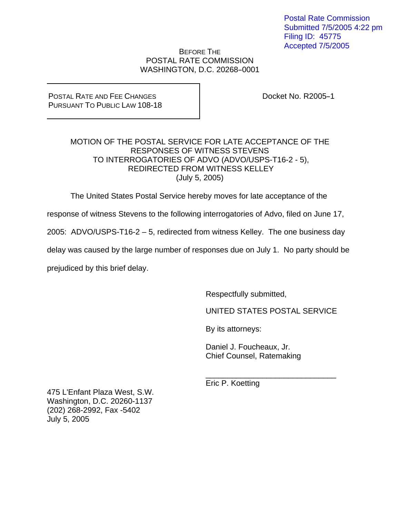Postal Rate Commission Submitted 7/5/2005 4:22 pm Filing ID: 45775 Accepted 7/5/2005

## BEFORE THE POSTAL RATE COMMISSION WASHINGTON, D.C. 20268-0001

## POSTAL RATE AND FEE CHANGES PURSUANT TO PUBLIC LAW 108-18

Docket No. R2005-1

## MOTION OF THE POSTAL SERVICE FOR LATE ACCEPTANCE OF THE RESPONSES OF WITNESS STEVENS TO INTERROGATORIES OF ADVO (ADVO/USPS-T16-2 - 5), REDIRECTED FROM WITNESS KELLEY (July 5, 2005)

The United States Postal Service hereby moves for late acceptance of the

response of witness Stevens to the following interrogatories of Advo, filed on June 17,

2005: ADVO/USPS-T16-2 – 5, redirected from witness Kelley. The one business day

delay was caused by the large number of responses due on July 1. No party should be

prejudiced by this brief delay.

Respectfully submitted,

UNITED STATES POSTAL SERVICE

By its attorneys:

 Daniel J. Foucheaux, Jr. Chief Counsel, Ratemaking

 $\frac{1}{\sqrt{2\pi}}$  ,  $\frac{1}{\sqrt{2\pi}}$  ,  $\frac{1}{\sqrt{2\pi}}$  ,  $\frac{1}{\sqrt{2\pi}}$  ,  $\frac{1}{\sqrt{2\pi}}$  ,  $\frac{1}{\sqrt{2\pi}}$  ,  $\frac{1}{\sqrt{2\pi}}$  ,  $\frac{1}{\sqrt{2\pi}}$  ,  $\frac{1}{\sqrt{2\pi}}$  ,  $\frac{1}{\sqrt{2\pi}}$  ,  $\frac{1}{\sqrt{2\pi}}$  ,  $\frac{1}{\sqrt{2\pi}}$  ,  $\frac{1}{\sqrt{2\pi}}$  , Eric P. Koetting

475 L'Enfant Plaza West, S.W. Washington, D.C. 20260-1137 (202) 268-2992, Fax -5402 July 5, 2005